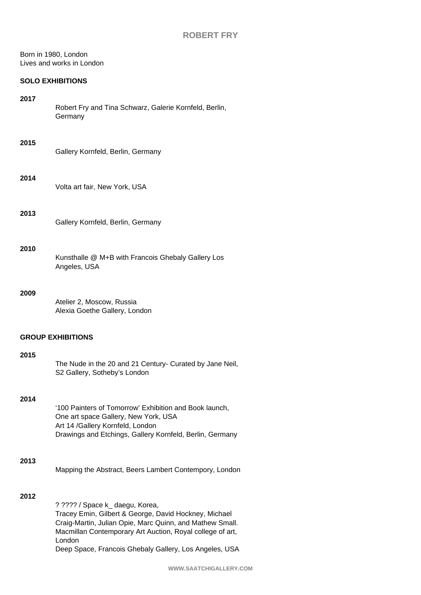Born in 1980, London Lives and works in London

## **SOLO EXHIBITIONS**

Robert Fry and Tina Schwarz, Galerie Kornfeld, Berlin, **Germany** 

#### **2015**

| Gallery Kornfeld, Berlin, Germany |  |
|-----------------------------------|--|
|                                   |  |

#### **2014**

Volta art fair, New York, USA

#### **2013**

# **2010**

| Kunsthalle @ M+B with Francois Ghebaly Gallery Los |  |
|----------------------------------------------------|--|
| Angeles, USA                                       |  |

## **2009**

Atelier 2, Moscow, Russia Alexia Goethe Gallery, London

### **GROUP EXHIBITIONS**

#### **2015**

| The Nude in the 20 and 21 Century- Curated by Jane Neil, |
|----------------------------------------------------------|
| S2 Gallery, Sotheby's London                             |

### **2014**

'100 Painters of Tomorrow' Exhibition and Book launch, One art space Gallery, New York, USA Art 14 /Gallery Kornfeld, London Drawings and Etchings, Gallery Kornfeld, Berlin, Germany

### **2013**

Mapping the Abstract, Beers Lambert Contempory, London

### **2012**

? ???? / Space k\_ daegu, Korea, Tracey Emin, Gilbert & George, David Hockney, Michael Craig-Martin, Julian Opie, Marc Quinn, and Mathew Small. Macmillan Contemporary Art Auction, Royal college of art, London Deep Space, Francois Ghebaly Gallery, Los Angeles, USA